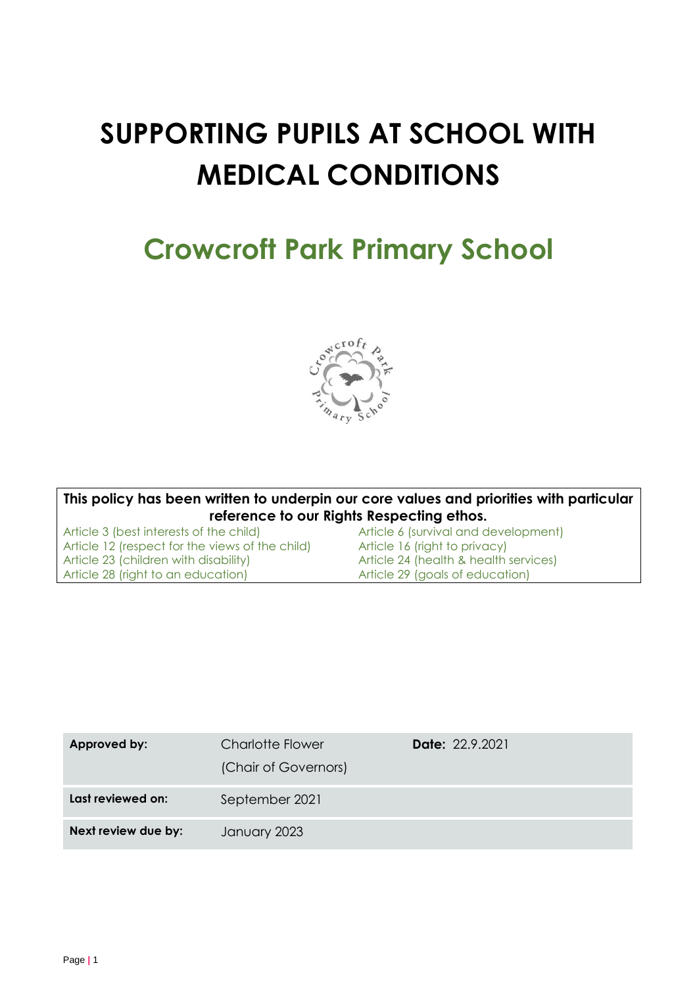# **SUPPORTING PUPILS AT SCHOOL WITH MEDICAL CONDITIONS**

## **Crowcroft Park Primary School**



**This policy has been written to underpin our core values and priorities with particular reference to our Rights Respecting ethos.**<br>Article 3 (best interests of the child) **Article 6** (survival and d

Article 12 (respect for the views of the child) Article 16 (right to privacy)<br>Article 23 (children with disability) Article 24 (health & health Article 28 (right to an education) Article 29 (goals of education)

Article 6 (survival and development) Article 24 (health & health services)

| Approved by:        | <b>Charlotte Flower</b><br>(Chair of Governors) | <b>Date:</b> 22.9.2021 |
|---------------------|-------------------------------------------------|------------------------|
| Last reviewed on:   | September 2021                                  |                        |
| Next review due by: | January 2023                                    |                        |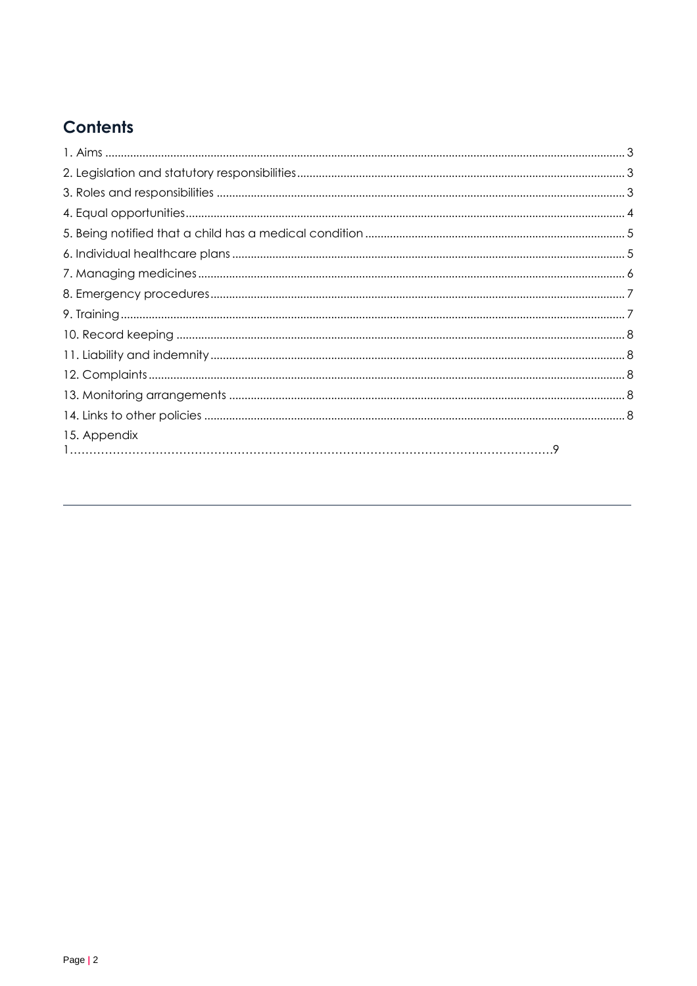## **Contents**

| 15. Appendix |  |
|--------------|--|
|              |  |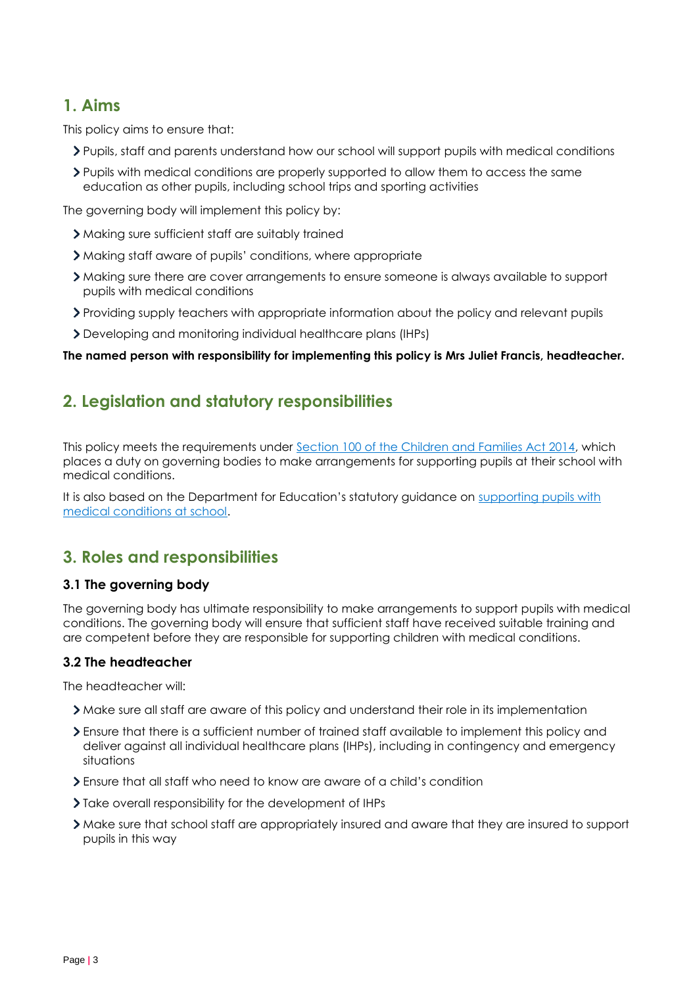## **1. Aims**

This policy aims to ensure that:

- Pupils, staff and parents understand how our school will support pupils with medical conditions
- Pupils with medical conditions are properly supported to allow them to access the same education as other pupils, including school trips and sporting activities

The governing body will implement this policy by:

- Making sure sufficient staff are suitably trained
- Making staff aware of pupils' conditions, where appropriate
- Making sure there are cover arrangements to ensure someone is always available to support pupils with medical conditions
- Providing supply teachers with appropriate information about the policy and relevant pupils
- Developing and monitoring individual healthcare plans (IHPs)

**The named person with responsibility for implementing this policy is Mrs Juliet Francis, headteacher.**

## **2. Legislation and statutory responsibilities**

This policy meets the requirements under [Section 100 of the Children and Families Act 2014,](http://www.legislation.gov.uk/ukpga/2014/6/part/5/crossheading/pupils-with-medical-conditions) which places a duty on governing bodies to make arrangements for supporting pupils at their school with medical conditions.

It is also based on the Department for Education's statutory guidance on supporting pupils with [medical conditions at school.](https://www.gov.uk/government/publications/supporting-pupils-at-school-with-medical-conditions--3)

## **3. Roles and responsibilities**

#### **3.1 The governing body**

The governing body has ultimate responsibility to make arrangements to support pupils with medical conditions. The governing body will ensure that sufficient staff have received suitable training and are competent before they are responsible for supporting children with medical conditions.

#### **3.2 The headteacher**

The headteacher will:

- Make sure all staff are aware of this policy and understand their role in its implementation
- Ensure that there is a sufficient number of trained staff available to implement this policy and deliver against all individual healthcare plans (IHPs), including in contingency and emergency situations
- Ensure that all staff who need to know are aware of a child's condition
- > Take overall responsibility for the development of IHPs
- Make sure that school staff are appropriately insured and aware that they are insured to support pupils in this way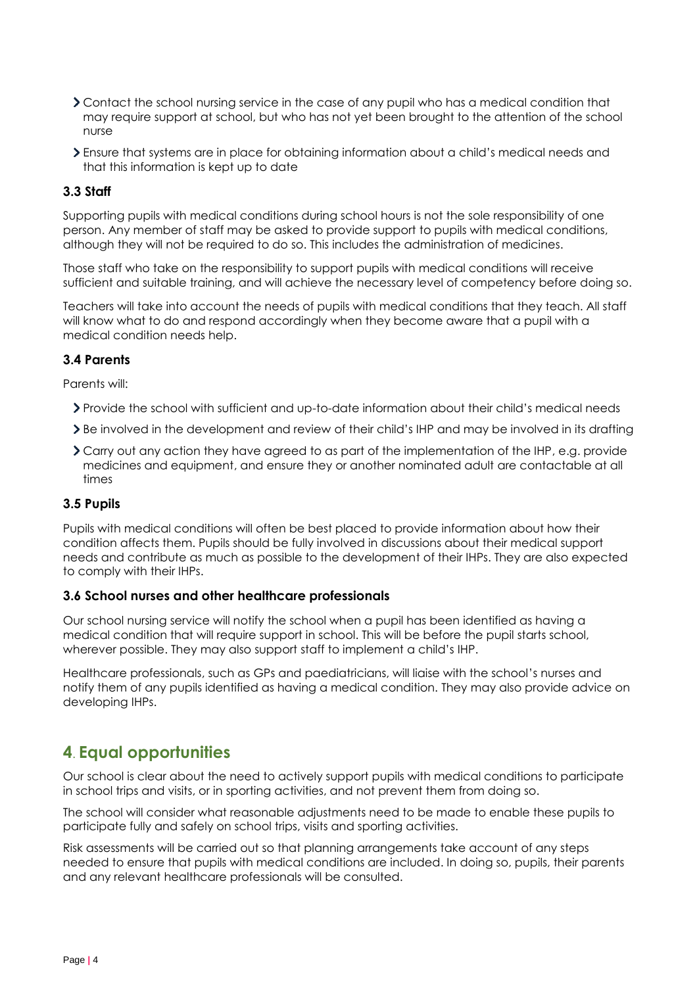- Contact the school nursing service in the case of any pupil who has a medical condition that may require support at school, but who has not yet been brought to the attention of the school nurse
- Ensure that systems are in place for obtaining information about a child's medical needs and that this information is kept up to date

#### **3.3 Staff**

Supporting pupils with medical conditions during school hours is not the sole responsibility of one person. Any member of staff may be asked to provide support to pupils with medical conditions, although they will not be required to do so. This includes the administration of medicines.

Those staff who take on the responsibility to support pupils with medical conditions will receive sufficient and suitable training, and will achieve the necessary level of competency before doing so.

Teachers will take into account the needs of pupils with medical conditions that they teach. All staff will know what to do and respond accordingly when they become aware that a pupil with a medical condition needs help.

#### **3.4 Parents**

Parents will:

- Provide the school with sufficient and up-to-date information about their child's medical needs
- Be involved in the development and review of their child's IHP and may be involved in its drafting
- Carry out any action they have agreed to as part of the implementation of the IHP, e.g. provide medicines and equipment, and ensure they or another nominated adult are contactable at all times

#### **3.5 Pupils**

Pupils with medical conditions will often be best placed to provide information about how their condition affects them. Pupils should be fully involved in discussions about their medical support needs and contribute as much as possible to the development of their IHPs. They are also expected to comply with their IHPs.

#### **3.6 School nurses and other healthcare professionals**

Our school nursing service will notify the school when a pupil has been identified as having a medical condition that will require support in school. This will be before the pupil starts school, wherever possible. They may also support staff to implement a child's IHP.

Healthcare professionals, such as GPs and paediatricians, will liaise with the school's nurses and notify them of any pupils identified as having a medical condition. They may also provide advice on developing IHPs.

### **4**. **Equal opportunities**

Our school is clear about the need to actively support pupils with medical conditions to participate in school trips and visits, or in sporting activities, and not prevent them from doing so.

The school will consider what reasonable adjustments need to be made to enable these pupils to participate fully and safely on school trips, visits and sporting activities.

Risk assessments will be carried out so that planning arrangements take account of any steps needed to ensure that pupils with medical conditions are included. In doing so, pupils, their parents and any relevant healthcare professionals will be consulted.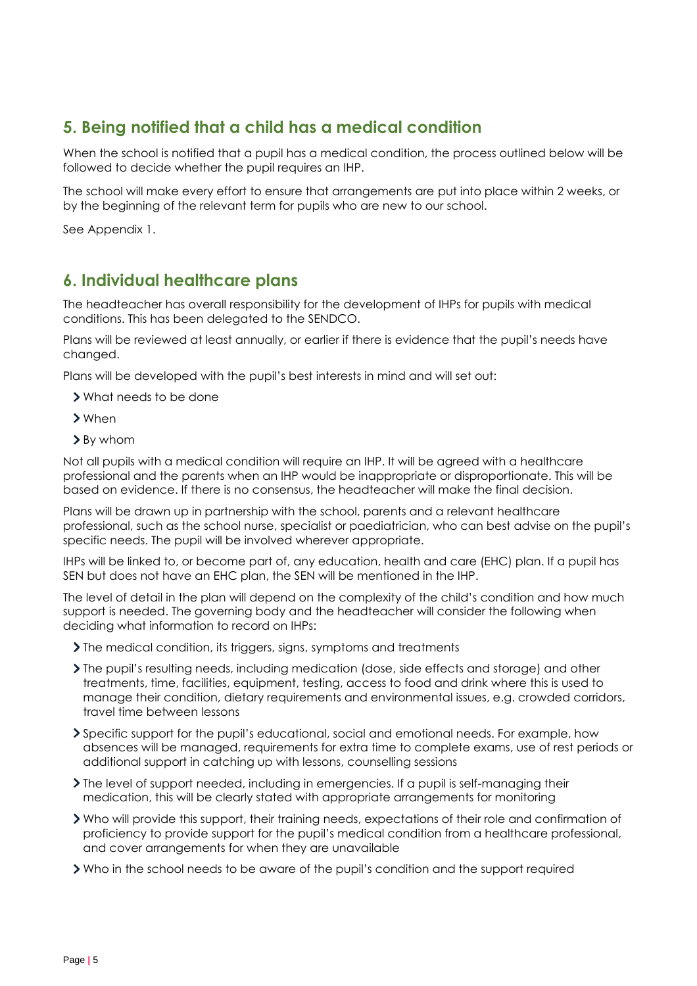## **5. Being notified that a child has a medical condition**

When the school is notified that a pupil has a medical condition, the process outlined below will be followed to decide whether the pupil requires an IHP.

The school will make every effort to ensure that arrangements are put into place within 2 weeks, or by the beginning of the relevant term for pupils who are new to our school.

See Appendix 1.

### **6. Individual healthcare plans**

The headteacher has overall responsibility for the development of IHPs for pupils with medical conditions. This has been delegated to the SENDCO.

Plans will be reviewed at least annually, or earlier if there is evidence that the pupil's needs have changed.

Plans will be developed with the pupil's best interests in mind and will set out:

- What needs to be done
- When
- > By whom

Not all pupils with a medical condition will require an IHP. It will be agreed with a healthcare professional and the parents when an IHP would be inappropriate or disproportionate. This will be based on evidence. If there is no consensus, the headteacher will make the final decision.

Plans will be drawn up in partnership with the school, parents and a relevant healthcare professional, such as the school nurse, specialist or paediatrician, who can best advise on the pupil's specific needs. The pupil will be involved wherever appropriate.

IHPs will be linked to, or become part of, any education, health and care (EHC) plan. If a pupil has SEN but does not have an EHC plan, the SEN will be mentioned in the IHP.

The level of detail in the plan will depend on the complexity of the child's condition and how much support is needed. The governing body and the headteacher will consider the following when deciding what information to record on IHPs:

- Ine medical condition, its triggers, signs, symptoms and treatments
- The pupil's resulting needs, including medication (dose, side effects and storage) and other treatments, time, facilities, equipment, testing, access to food and drink where this is used to manage their condition, dietary requirements and environmental issues, e.g. crowded corridors, travel time between lessons
- Specific support for the pupil's educational, social and emotional needs. For example, how absences will be managed, requirements for extra time to complete exams, use of rest periods or additional support in catching up with lessons, counselling sessions
- The level of support needed, including in emergencies. If a pupil is self-managing their medication, this will be clearly stated with appropriate arrangements for monitoring
- Who will provide this support, their training needs, expectations of their role and confirmation of proficiency to provide support for the pupil's medical condition from a healthcare professional, and cover arrangements for when they are unavailable

Who in the school needs to be aware of the pupil's condition and the support required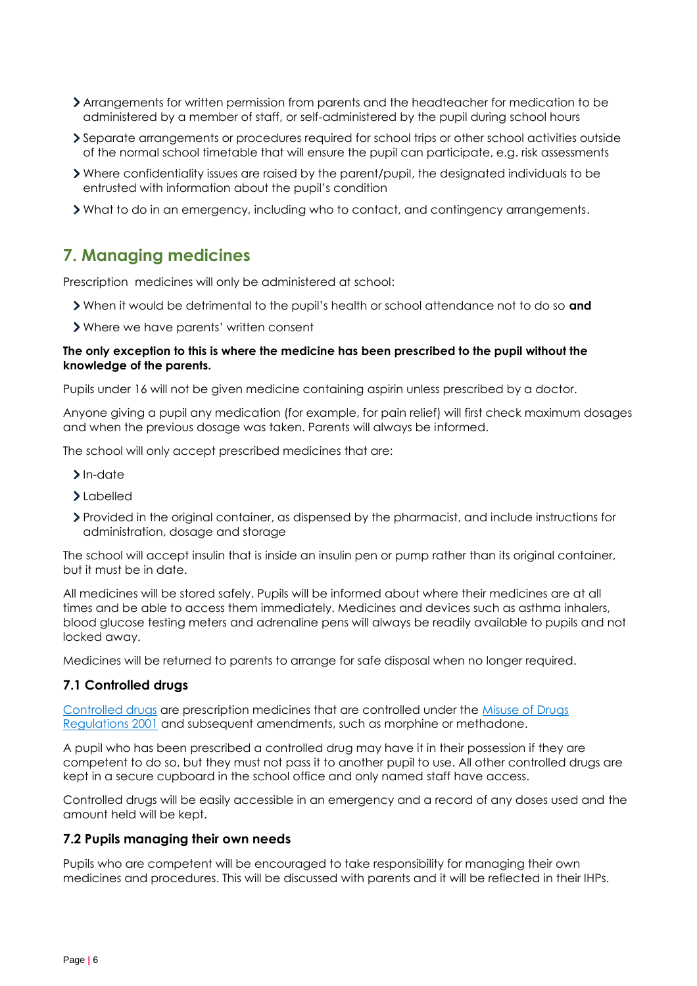- Arrangements for written permission from parents and the headteacher for medication to be administered by a member of staff, or self-administered by the pupil during school hours
- Separate arrangements or procedures required for school trips or other school activities outside of the normal school timetable that will ensure the pupil can participate, e.g. risk assessments
- Where confidentiality issues are raised by the parent/pupil, the designated individuals to be entrusted with information about the pupil's condition
- What to do in an emergency, including who to contact, and contingency arrangements.

## **7. Managing medicines**

Prescription medicines will only be administered at school:

- When it would be detrimental to the pupil's health or school attendance not to do so **and**
- Where we have parents' written consent

#### **The only exception to this is where the medicine has been prescribed to the pupil without the knowledge of the parents.**

Pupils under 16 will not be given medicine containing aspirin unless prescribed by a doctor.

Anyone giving a pupil any medication (for example, for pain relief) will first check maximum dosages and when the previous dosage was taken. Parents will always be informed.

The school will only accept prescribed medicines that are:

- > In-date
- Labelled
- Provided in the original container, as dispensed by the pharmacist, and include instructions for administration, dosage and storage

The school will accept insulin that is inside an insulin pen or pump rather than its original container, but it must be in date.

All medicines will be stored safely. Pupils will be informed about where their medicines are at all times and be able to access them immediately. Medicines and devices such as asthma inhalers, blood glucose testing meters and adrenaline pens will always be readily available to pupils and not locked away.

Medicines will be returned to parents to arrange for safe disposal when no longer required.

#### **7.1 Controlled drugs**

[Controlled drugs](http://www.nhs.uk/chq/Pages/1391.aspx?CategoryID=73) are prescription medicines that are controlled under the [Misuse of Drugs](http://www.legislation.gov.uk/uksi/2001/3998/schedule/1/made)  [Regulations 2001](http://www.legislation.gov.uk/uksi/2001/3998/schedule/1/made) and subsequent amendments, such as morphine or methadone.

A pupil who has been prescribed a controlled drug may have it in their possession if they are competent to do so, but they must not pass it to another pupil to use. All other controlled drugs are kept in a secure cupboard in the school office and only named staff have access.

Controlled drugs will be easily accessible in an emergency and a record of any doses used and the amount held will be kept.

#### **7.2 Pupils managing their own needs**

Pupils who are competent will be encouraged to take responsibility for managing their own medicines and procedures. This will be discussed with parents and it will be reflected in their IHPs.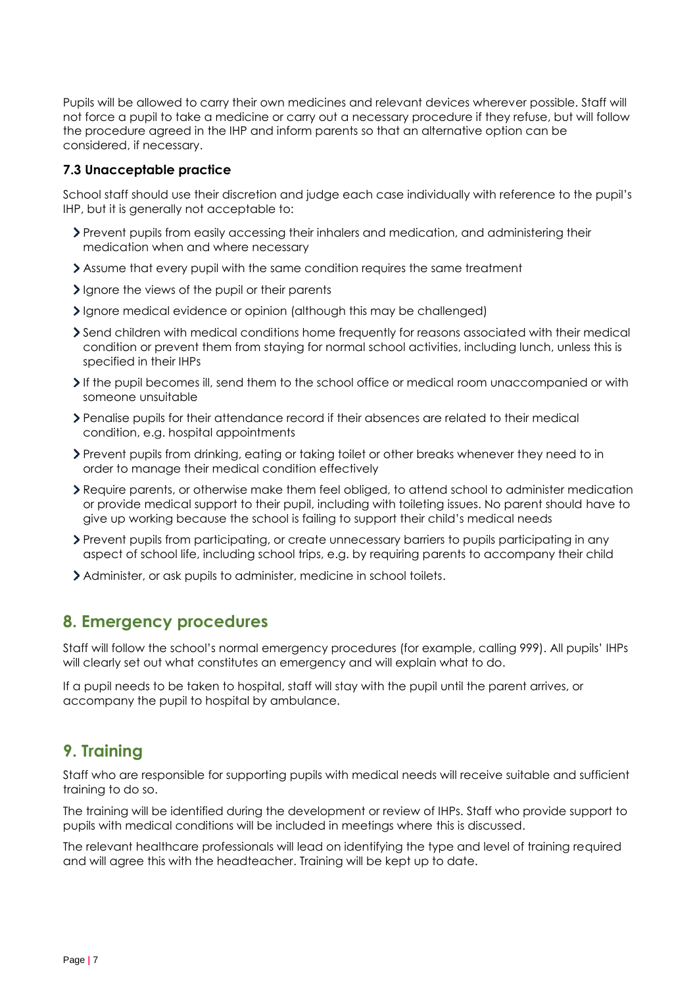Pupils will be allowed to carry their own medicines and relevant devices wherever possible. Staff will not force a pupil to take a medicine or carry out a necessary procedure if they refuse, but will follow the procedure agreed in the IHP and inform parents so that an alternative option can be considered, if necessary.

#### **7.3 Unacceptable practice**

School staff should use their discretion and judge each case individually with reference to the pupil's IHP, but it is generally not acceptable to:

- Prevent pupils from easily accessing their inhalers and medication, and administering their medication when and where necessary
- Assume that every pupil with the same condition requires the same treatment
- Ignore the views of the pupil or their parents
- Ignore medical evidence or opinion (although this may be challenged)
- Send children with medical conditions home frequently for reasons associated with their medical condition or prevent them from staying for normal school activities, including lunch, unless this is specified in their IHPs
- If the pupil becomes ill, send them to the school office or medical room unaccompanied or with someone unsuitable
- Penalise pupils for their attendance record if their absences are related to their medical condition, e.g. hospital appointments
- Prevent pupils from drinking, eating or taking toilet or other breaks whenever they need to in order to manage their medical condition effectively
- Require parents, or otherwise make them feel obliged, to attend school to administer medication or provide medical support to their pupil, including with toileting issues. No parent should have to give up working because the school is failing to support their child's medical needs
- Prevent pupils from participating, or create unnecessary barriers to pupils participating in any aspect of school life, including school trips, e.g. by requiring parents to accompany their child
- Administer, or ask pupils to administer, medicine in school toilets.

## **8. Emergency procedures**

Staff will follow the school's normal emergency procedures (for example, calling 999). All pupils' IHPs will clearly set out what constitutes an emergency and will explain what to do.

If a pupil needs to be taken to hospital, staff will stay with the pupil until the parent arrives, or accompany the pupil to hospital by ambulance.

## **9. Training**

Staff who are responsible for supporting pupils with medical needs will receive suitable and sufficient training to do so.

The training will be identified during the development or review of IHPs. Staff who provide support to pupils with medical conditions will be included in meetings where this is discussed.

The relevant healthcare professionals will lead on identifying the type and level of training required and will agree this with the headteacher. Training will be kept up to date.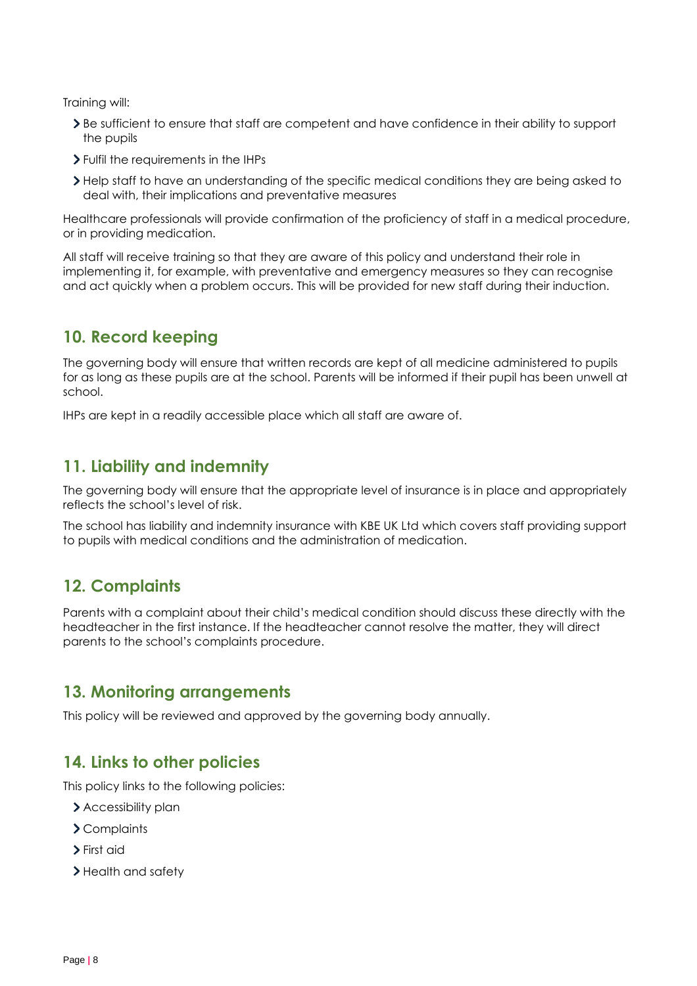Training will:

- Be sufficient to ensure that staff are competent and have confidence in their ability to support the pupils
- Fulfil the requirements in the IHPs
- Help staff to have an understanding of the specific medical conditions they are being asked to deal with, their implications and preventative measures

Healthcare professionals will provide confirmation of the proficiency of staff in a medical procedure, or in providing medication.

All staff will receive training so that they are aware of this policy and understand their role in implementing it, for example, with preventative and emergency measures so they can recognise and act quickly when a problem occurs. This will be provided for new staff during their induction.

## **10. Record keeping**

The governing body will ensure that written records are kept of all medicine administered to pupils for as long as these pupils are at the school. Parents will be informed if their pupil has been unwell at school.

IHPs are kept in a readily accessible place which all staff are aware of.

## **11. Liability and indemnity**

The governing body will ensure that the appropriate level of insurance is in place and appropriately reflects the school's level of risk.

The school has liability and indemnity insurance with KBE UK Ltd which covers staff providing support to pupils with medical conditions and the administration of medication.

## **12. Complaints**

Parents with a complaint about their child's medical condition should discuss these directly with the headteacher in the first instance. If the headteacher cannot resolve the matter, they will direct parents to the school's complaints procedure.

## **13. Monitoring arrangements**

This policy will be reviewed and approved by the governing body annually.

## **14. Links to other policies**

This policy links to the following policies:

- > Accessibility plan
- Complaints
- > First aid
- > Health and safety